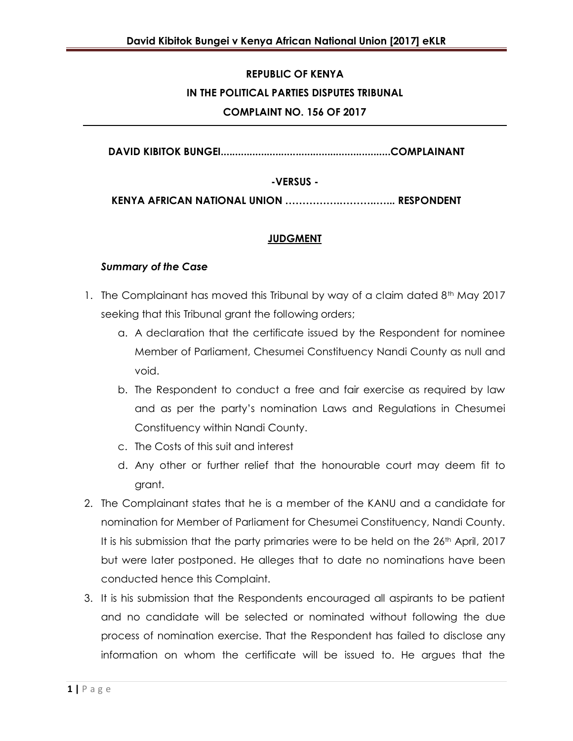# **REPUBLIC OF KENYA IN THE POLITICAL PARTIES DISPUTES TRIBUNAL COMPLAINT NO. 156 OF 2017**

**DAVID KIBITOK BUNGEI...........................................................COMPLAINANT**

#### **-VERSUS -**

**KENYA AFRICAN NATIONAL UNION …………….………..…... RESPONDENT**

### **JUDGMENT**

#### *Summary of the Case*

- 1. The Complainant has moved this Tribunal by way of a claim dated 8<sup>th</sup> May 2017 seeking that this Tribunal grant the following orders;
	- a. A declaration that the certificate issued by the Respondent for nominee Member of Parliament, Chesumei Constituency Nandi County as null and void.
	- b. The Respondent to conduct a free and fair exercise as required by law and as per the party's nomination Laws and Regulations in Chesumei Constituency within Nandi County.
	- c. The Costs of this suit and interest
	- d. Any other or further relief that the honourable court may deem fit to grant.
- 2. The Complainant states that he is a member of the KANU and a candidate for nomination for Member of Parliament for Chesumei Constituency, Nandi County. It is his submission that the party primaries were to be held on the 26<sup>th</sup> April, 2017 but were later postponed. He alleges that to date no nominations have been conducted hence this Complaint.
- 3. It is his submission that the Respondents encouraged all aspirants to be patient and no candidate will be selected or nominated without following the due process of nomination exercise. That the Respondent has failed to disclose any information on whom the certificate will be issued to. He argues that the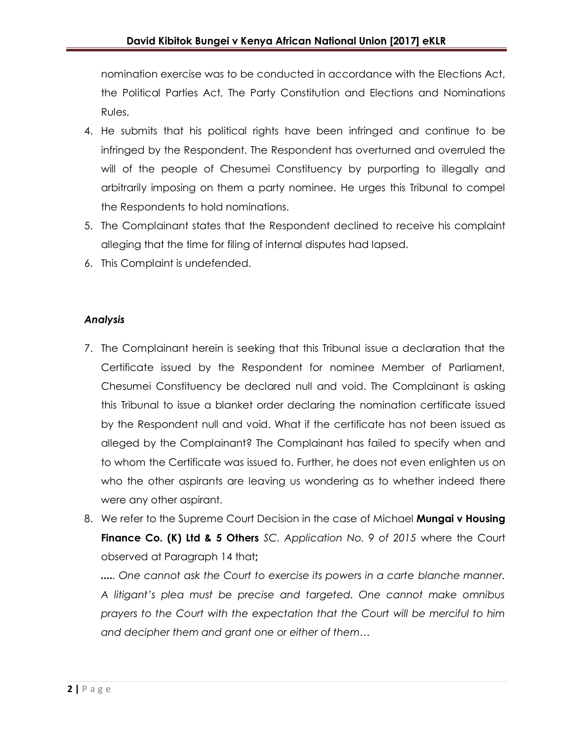nomination exercise was to be conducted in accordance with the Elections Act, the Political Parties Act, The Party Constitution and Elections and Nominations Rules.

- 4. He submits that his political rights have been infringed and continue to be infringed by the Respondent. The Respondent has overturned and overruled the will of the people of Chesumei Constituency by purporting to illegally and arbitrarily imposing on them a party nominee. He urges this Tribunal to compel the Respondents to hold nominations.
- 5. The Complainant states that the Respondent declined to receive his complaint alleging that the time for filing of internal disputes had lapsed.
- 6. This Complaint is undefended.

## *Analysis*

- 7. The Complainant herein is seeking that this Tribunal issue a declaration that the Certificate issued by the Respondent for nominee Member of Parliament, Chesumei Constituency be declared null and void. The Complainant is asking this Tribunal to issue a blanket order declaring the nomination certificate issued by the Respondent null and void. What if the certificate has not been issued as alleged by the Complainant? The Complainant has failed to specify when and to whom the Certificate was issued to. Further, he does not even enlighten us on who the other aspirants are leaving us wondering as to whether indeed there were any other aspirant.
- 8. We refer to the Supreme Court Decision in the case of Michael **Mungai v Housing Finance Co. (K) Ltd & 5 Others** *SC. Application No. 9 of 2015* where the Court observed at Paragraph 14 that**;**

*..... One cannot ask the Court to exercise its powers in a carte blanche manner. A litigant's plea must be precise and targeted. One cannot make omnibus prayers to the Court with the expectation that the Court will be merciful to him and decipher them and grant one or either of them…*